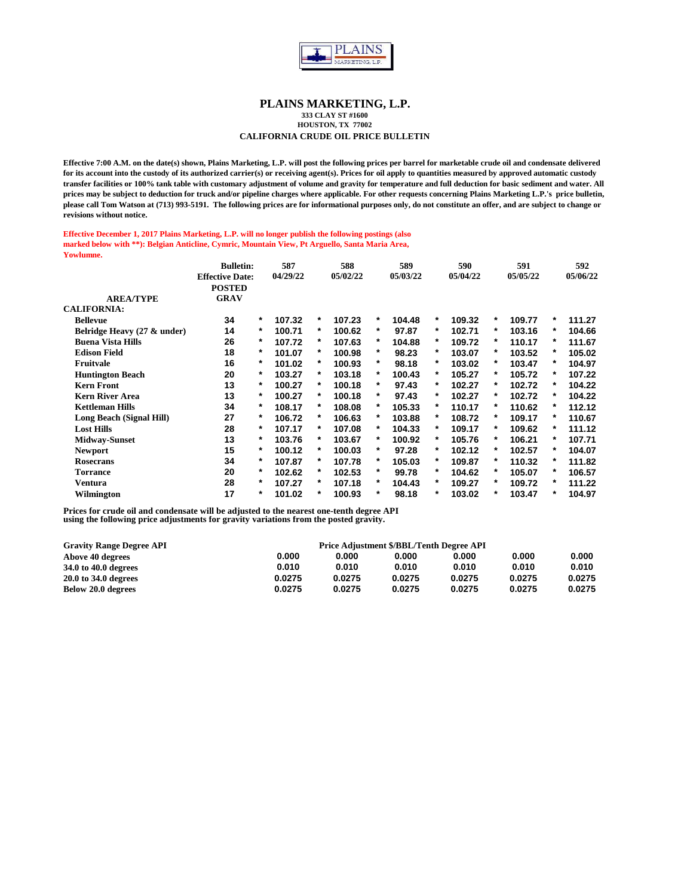

**333 CLAY ST #1600 HOUSTON, TX 77002**

## **CALIFORNIA CRUDE OIL PRICE BULLETIN**

**Effective 7:00 A.M. on the date(s) shown, Plains Marketing, L.P. will post the following prices per barrel for marketable crude oil and condensate delivered for its account into the custody of its authorized carrier(s) or receiving agent(s). Prices for oil apply to quantities measured by approved automatic custody transfer facilities or 100% tank table with customary adjustment of volume and gravity for temperature and full deduction for basic sediment and water. All prices may be subject to deduction for truck and/or pipeline charges where applicable. For other requests concerning Plains Marketing L.P.'s price bulletin, please call Tom Watson at (713) 993-5191. The following prices are for informational purposes only, do not constitute an offer, and are subject to change or revisions without notice.**

#### **Effective December 1, 2017 Plains Marketing, L.P. will no longer publish the following postings (also marked below with \*\*): Belgian Anticline, Cymric, Mountain View, Pt Arguello, Santa Maria Area, Yowlumne.**

|                             | <b>Bulletin:</b>       |        | 587      |        | 588      |   | 589      |          | 590      |   | 591      |        | 592      |
|-----------------------------|------------------------|--------|----------|--------|----------|---|----------|----------|----------|---|----------|--------|----------|
|                             | <b>Effective Date:</b> |        | 04/29/22 |        | 05/02/22 |   | 05/03/22 |          | 05/04/22 |   | 05/05/22 |        | 05/06/22 |
|                             | <b>POSTED</b>          |        |          |        |          |   |          |          |          |   |          |        |          |
| <b>AREA/TYPE</b>            | <b>GRAV</b>            |        |          |        |          |   |          |          |          |   |          |        |          |
| <b>CALIFORNIA:</b>          |                        |        |          |        |          |   |          |          |          |   |          |        |          |
| <b>Bellevue</b>             | 34                     | *      | 107.32   | *      | 107.23   | * | 104.48   | *        | 109.32   | * | 109.77   | $\ast$ | 111.27   |
| Belridge Heavy (27 & under) | 14                     | *      | 100.71   | *      | 100.62   | * | 97.87    | *        | 102.71   | * | 103.16   | *      | 104.66   |
| <b>Buena Vista Hills</b>    | 26                     | *      | 107.72   | *      | 107.63   | * | 104.88   | $\ast$   | 109.72   | * | 110.17   | *      | 111.67   |
| <b>Edison Field</b>         | 18                     | *      | 101.07   | *      | 100.98   | * | 98.23    | $^\star$ | 103.07   | * | 103.52   | *      | 105.02   |
| Fruitvale                   | 16                     | *      | 101.02   | *      | 100.93   | * | 98.18    | *        | 103.02   | * | 103.47   | *      | 104.97   |
| <b>Huntington Beach</b>     | 20                     | *      | 103.27   | *      | 103.18   | * | 100.43   | *        | 105.27   | * | 105.72   | *      | 107.22   |
| <b>Kern Front</b>           | 13                     | *      | 100.27   | *      | 100.18   | * | 97.43    | *        | 102.27   | * | 102.72   | *      | 104.22   |
| <b>Kern River Area</b>      | 13                     | *      | 100.27   | *      | 100.18   | * | 97.43    | *        | 102.27   | * | 102.72   | *      | 104.22   |
| <b>Kettleman Hills</b>      | 34                     | *      | 108.17   | *      | 108.08   | * | 105.33   | $^\star$ | 110.17   | * | 110.62   | *      | 112.12   |
| Long Beach (Signal Hill)    | 27                     | *      | 106.72   | $\ast$ | 106.63   | * | 103.88   | *        | 108.72   | * | 109.17   | *      | 110.67   |
| <b>Lost Hills</b>           | 28                     | *      | 107.17   | $\ast$ | 107.08   | * | 104.33   | *        | 109.17   | * | 109.62   | *      | 111.12   |
| <b>Midway-Sunset</b>        | 13                     | *      | 103.76   | *      | 103.67   | * | 100.92   | *        | 105.76   | * | 106.21   | *      | 107.71   |
| <b>Newport</b>              | 15                     | *      | 100.12   | *      | 100.03   | * | 97.28    | *        | 102.12   | * | 102.57   | *      | 104.07   |
| <b>Rosecrans</b>            | 34                     | *      | 107.87   | *      | 107.78   | * | 105.03   | *        | 109.87   | * | 110.32   | *      | 111.82   |
| <b>Torrance</b>             | 20                     | $\ast$ | 102.62   | $\ast$ | 102.53   | * | 99.78    | *        | 104.62   | * | 105.07   | *      | 106.57   |
| Ventura                     | 28                     | *      | 107.27   | *      | 107.18   | * | 104.43   | *        | 109.27   | * | 109.72   | *      | 111.22   |
| Wilmington                  | 17                     | *      | 101.02   | $\ast$ | 100.93   | * | 98.18    | *        | 103.02   | * | 103.47   | *      | 104.97   |

| <b>Gravity Range Degree API</b> |        |        | Price Adjustment \$/BBL/Tenth Degree API |        |        |        |
|---------------------------------|--------|--------|------------------------------------------|--------|--------|--------|
| Above 40 degrees                | 0.000  | 0.000  | 0.000                                    | 0.000  | 0.000  | 0.000  |
| 34.0 to 40.0 degrees            | 0.010  | 0.010  | 0.010                                    | 0.010  | 0.010  | 0.010  |
| 20.0 to 34.0 degrees            | 0.0275 | 0.0275 | 0.0275                                   | 0.0275 | 0.0275 | 0.0275 |
| Below 20.0 degrees              | 0.0275 | 0.0275 | 0.0275                                   | 0.0275 | 0.0275 | 0.0275 |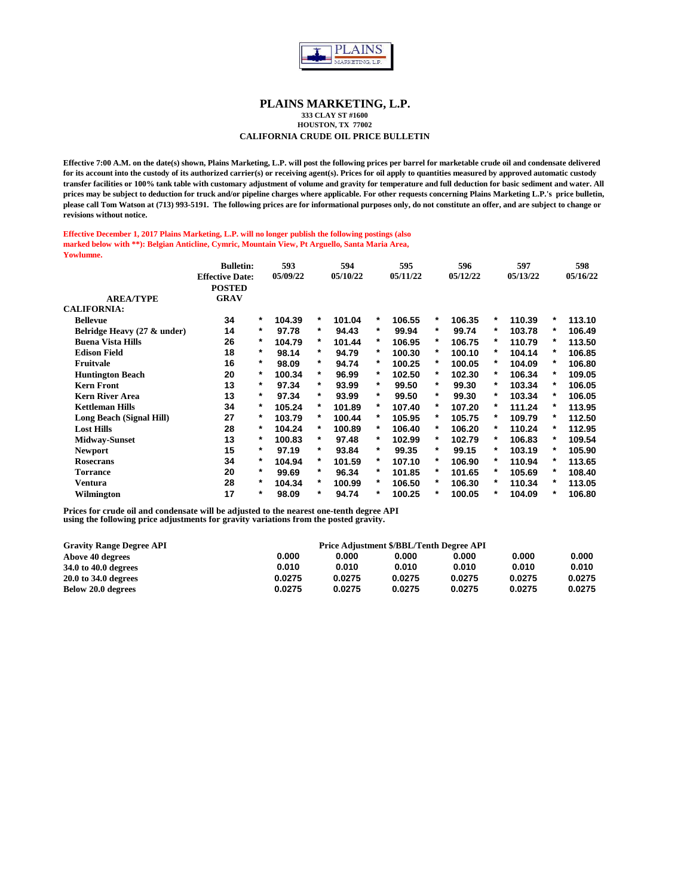

**333 CLAY ST #1600 HOUSTON, TX 77002**

## **CALIFORNIA CRUDE OIL PRICE BULLETIN**

**Effective 7:00 A.M. on the date(s) shown, Plains Marketing, L.P. will post the following prices per barrel for marketable crude oil and condensate delivered for its account into the custody of its authorized carrier(s) or receiving agent(s). Prices for oil apply to quantities measured by approved automatic custody transfer facilities or 100% tank table with customary adjustment of volume and gravity for temperature and full deduction for basic sediment and water. All prices may be subject to deduction for truck and/or pipeline charges where applicable. For other requests concerning Plains Marketing L.P.'s price bulletin, please call Tom Watson at (713) 993-5191. The following prices are for informational purposes only, do not constitute an offer, and are subject to change or revisions without notice.**

#### **Effective December 1, 2017 Plains Marketing, L.P. will no longer publish the following postings (also marked below with \*\*): Belgian Anticline, Cymric, Mountain View, Pt Arguello, Santa Maria Area, Yowlumne.**

|                             | <b>Bulletin:</b>       |         | 593      |          | 594      |         | 595      |   | 596      |   | 597      |          | 598      |
|-----------------------------|------------------------|---------|----------|----------|----------|---------|----------|---|----------|---|----------|----------|----------|
|                             | <b>Effective Date:</b> |         | 05/09/22 |          | 05/10/22 |         | 05/11/22 |   | 05/12/22 |   | 05/13/22 |          | 05/16/22 |
|                             | <b>POSTED</b>          |         |          |          |          |         |          |   |          |   |          |          |          |
| <b>AREA/TYPE</b>            | <b>GRAV</b>            |         |          |          |          |         |          |   |          |   |          |          |          |
| <b>CALIFORNIA:</b>          |                        |         |          |          |          |         |          |   |          |   |          |          |          |
| <b>Bellevue</b>             | 34                     | $\ast$  | 104.39   | *        | 101.04   | *       | 106.55   | * | 106.35   | * | 110.39   | $\ast$   | 113.10   |
| Belridge Heavy (27 & under) | 14                     | $^\ast$ | 97.78    | *        | 94.43    | $^\ast$ | 99.94    | * | 99.74    | * | 103.78   | *        | 106.49   |
| <b>Buena Vista Hills</b>    | 26                     | *       | 104.79   | *        | 101.44   | *       | 106.95   | * | 106.75   | * | 110.79   | *        | 113.50   |
| <b>Edison Field</b>         | 18                     | $^\ast$ | 98.14    | *        | 94.79    | *       | 100.30   | * | 100.10   | * | 104.14   | *        | 106.85   |
| Fruitvale                   | 16                     | *       | 98.09    | $\ast$   | 94.74    | *       | 100.25   | * | 100.05   | * | 104.09   | $\ast$   | 106.80   |
| <b>Huntington Beach</b>     | 20                     | $^\ast$ | 100.34   | $\ast$   | 96.99    | *       | 102.50   | * | 102.30   | * | 106.34   | *        | 109.05   |
| <b>Kern Front</b>           | 13                     | $^\ast$ | 97.34    | $\ast$   | 93.99    | $^\ast$ | 99.50    | * | 99.30    | * | 103.34   | $^\ast$  | 106.05   |
| <b>Kern River Area</b>      | 13                     | $^\ast$ | 97.34    | *        | 93.99    | *       | 99.50    | * | 99.30    | * | 103.34   | $\ast$   | 106.05   |
| <b>Kettleman Hills</b>      | 34                     | $^\ast$ | 105.24   | *        | 101.89   | *       | 107.40   | * | 107.20   | * | 111.24   | $\ast$   | 113.95   |
| Long Beach (Signal Hill)    | 27                     | *       | 103.79   | *        | 100.44   | *       | 105.95   | * | 105.75   | * | 109.79   | $^\star$ | 112.50   |
| <b>Lost Hills</b>           | 28                     | *       | 104.24   | *        | 100.89   | *       | 106.40   | * | 106.20   | * | 110.24   | *        | 112.95   |
| <b>Midway-Sunset</b>        | 13                     | *       | 100.83   | $^\star$ | 97.48    | $^\ast$ | 102.99   | * | 102.79   | * | 106.83   | *        | 109.54   |
| <b>Newport</b>              | 15                     | $^\ast$ | 97.19    | *        | 93.84    | *       | 99.35    | * | 99.15    | * | 103.19   | $^\star$ | 105.90   |
| <b>Rosecrans</b>            | 34                     | $^\ast$ | 104.94   | *        | 101.59   | *       | 107.10   | * | 106.90   | * | 110.94   | *        | 113.65   |
| <b>Torrance</b>             | 20                     | $^\ast$ | 99.69    | *        | 96.34    | *       | 101.85   | * | 101.65   | * | 105.69   | $\ast$   | 108.40   |
| Ventura                     | 28                     | $\ast$  | 104.34   | *        | 100.99   | *       | 106.50   | * | 106.30   | * | 110.34   | *        | 113.05   |
| Wilmington                  | 17                     | *       | 98.09    | *        | 94.74    | *       | 100.25   | * | 100.05   | * | 104.09   | *        | 106.80   |

| <b>Gravity Range Degree API</b> |        |        | Price Adjustment \$/BBL/Tenth Degree API |        |        |        |
|---------------------------------|--------|--------|------------------------------------------|--------|--------|--------|
| Above 40 degrees                | 0.000  | 0.000  | 0.000                                    | 0.000  | 0.000  | 0.000  |
| 34.0 to 40.0 degrees            | 0.010  | 0.010  | 0.010                                    | 0.010  | 0.010  | 0.010  |
| 20.0 to 34.0 degrees            | 0.0275 | 0.0275 | 0.0275                                   | 0.0275 | 0.0275 | 0.0275 |
| Below 20.0 degrees              | 0.0275 | 0.0275 | 0.0275                                   | 0.0275 | 0.0275 | 0.0275 |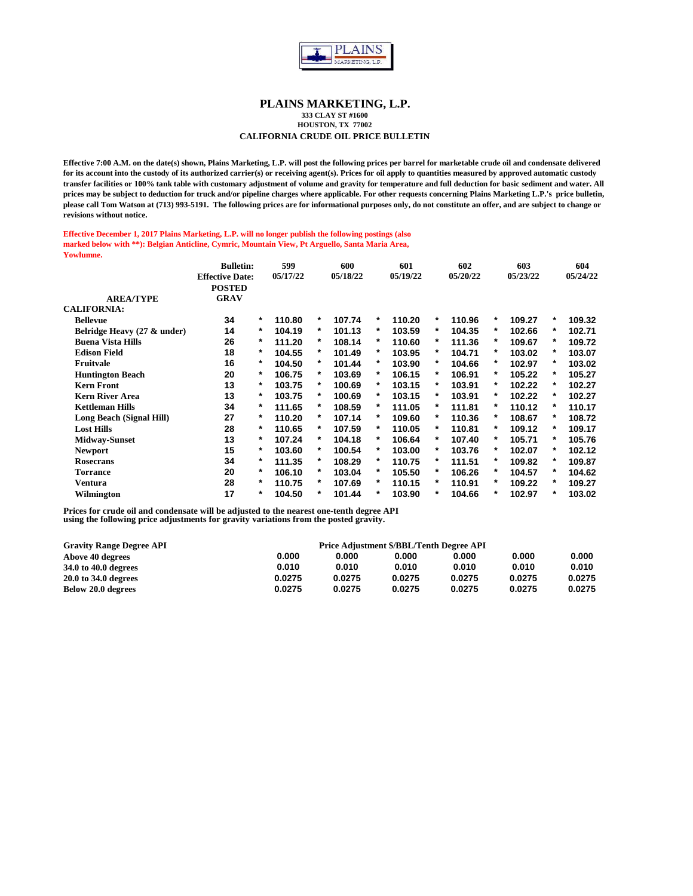

**333 CLAY ST #1600 HOUSTON, TX 77002**

## **CALIFORNIA CRUDE OIL PRICE BULLETIN**

**Effective 7:00 A.M. on the date(s) shown, Plains Marketing, L.P. will post the following prices per barrel for marketable crude oil and condensate delivered for its account into the custody of its authorized carrier(s) or receiving agent(s). Prices for oil apply to quantities measured by approved automatic custody transfer facilities or 100% tank table with customary adjustment of volume and gravity for temperature and full deduction for basic sediment and water. All prices may be subject to deduction for truck and/or pipeline charges where applicable. For other requests concerning Plains Marketing L.P.'s price bulletin, please call Tom Watson at (713) 993-5191. The following prices are for informational purposes only, do not constitute an offer, and are subject to change or revisions without notice.**

#### **Effective December 1, 2017 Plains Marketing, L.P. will no longer publish the following postings (also marked below with \*\*): Belgian Anticline, Cymric, Mountain View, Pt Arguello, Santa Maria Area, Yowlumne.**

|                             | <b>Bulletin:</b>       |   | 599      |          | 600      |   | 601      |        | 602      |   | 603      |        | 604      |
|-----------------------------|------------------------|---|----------|----------|----------|---|----------|--------|----------|---|----------|--------|----------|
|                             | <b>Effective Date:</b> |   | 05/17/22 |          | 05/18/22 |   | 05/19/22 |        | 05/20/22 |   | 05/23/22 |        | 05/24/22 |
|                             | <b>POSTED</b>          |   |          |          |          |   |          |        |          |   |          |        |          |
| <b>AREA/TYPE</b>            | <b>GRAV</b>            |   |          |          |          |   |          |        |          |   |          |        |          |
| <b>CALIFORNIA:</b>          |                        |   |          |          |          |   |          |        |          |   |          |        |          |
| <b>Bellevue</b>             | 34                     | * | 110.80   | *        | 107.74   | * | 110.20   | *      | 110.96   | * | 109.27   | $\ast$ | 109.32   |
| Belridge Heavy (27 & under) | 14                     | * | 104.19   | $^\star$ | 101.13   | * | 103.59   | *      | 104.35   | * | 102.66   | *      | 102.71   |
| <b>Buena Vista Hills</b>    | 26                     | * | 111.20   | *        | 108.14   | * | 110.60   | *      | 111.36   | * | 109.67   | *      | 109.72   |
| <b>Edison Field</b>         | 18                     | * | 104.55   | *        | 101.49   | * | 103.95   | *      | 104.71   | * | 103.02   | *      | 103.07   |
| Fruitvale                   | 16                     | * | 104.50   | *        | 101.44   | * | 103.90   | *      | 104.66   | * | 102.97   | *      | 103.02   |
| <b>Huntington Beach</b>     | 20                     | * | 106.75   | *        | 103.69   | * | 106.15   | *      | 106.91   | * | 105.22   | *      | 105.27   |
| <b>Kern Front</b>           | 13                     | * | 103.75   | *        | 100.69   | * | 103.15   | *      | 103.91   | * | 102.22   | *      | 102.27   |
| <b>Kern River Area</b>      | 13                     | * | 103.75   | *        | 100.69   | * | 103.15   | *      | 103.91   | * | 102.22   | *      | 102.27   |
| <b>Kettleman Hills</b>      | 34                     | * | 111.65   | *        | 108.59   | * | 111.05   | *      | 111.81   | * | 110.12   | *      | 110.17   |
| Long Beach (Signal Hill)    | 27                     | * | 110.20   | $\ast$   | 107.14   | * | 109.60   | *      | 110.36   | * | 108.67   | *      | 108.72   |
| <b>Lost Hills</b>           | 28                     | * | 110.65   | *        | 107.59   | * | 110.05   | *      | 110.81   | * | 109.12   | *      | 109.17   |
| <b>Midway-Sunset</b>        | 13                     | * | 107.24   | $\ast$   | 104.18   | * | 106.64   | $\ast$ | 107.40   | * | 105.71   | $\ast$ | 105.76   |
| <b>Newport</b>              | 15                     | * | 103.60   | *        | 100.54   | * | 103.00   | *      | 103.76   | * | 102.07   | *      | 102.12   |
| Rosecrans                   | 34                     | * | 111.35   | *        | 108.29   | * | 110.75   | *      | 111.51   | * | 109.82   | *      | 109.87   |
| <b>Torrance</b>             | 20                     | * | 106.10   | *        | 103.04   | * | 105.50   | *      | 106.26   | * | 104.57   | *      | 104.62   |
| Ventura                     | 28                     | * | 110.75   | *        | 107.69   | * | 110.15   | *      | 110.91   | * | 109.22   | *      | 109.27   |
| Wilmington                  | 17                     | * | 104.50   | $^\star$ | 101.44   | * | 103.90   | *      | 104.66   | * | 102.97   | *      | 103.02   |

| <b>Gravity Range Degree API</b> |        |        | Price Adjustment \$/BBL/Tenth Degree API |        |        |        |
|---------------------------------|--------|--------|------------------------------------------|--------|--------|--------|
| Above 40 degrees                | 0.000  | 0.000  | 0.000                                    | 0.000  | 0.000  | 0.000  |
| 34.0 to 40.0 degrees            | 0.010  | 0.010  | 0.010                                    | 0.010  | 0.010  | 0.010  |
| 20.0 to 34.0 degrees            | 0.0275 | 0.0275 | 0.0275                                   | 0.0275 | 0.0275 | 0.0275 |
| Below 20.0 degrees              | 0.0275 | 0.0275 | 0.0275                                   | 0.0275 | 0.0275 | 0.0275 |